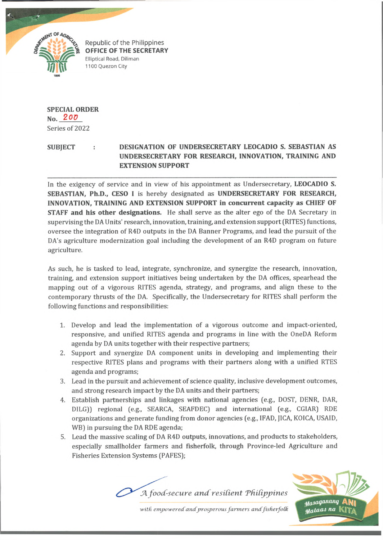

Republic of the Philippines **OFFICE OF THE SECRETARY** Elliptical Road, Diliman 1100 Quezon City

## **SPECIAL ORDER**

**No.** *2 0 V* Series of 2022

## **SUBJECT : DESIGNATION OF UNDERSECRETARY LEOCADIO S. SEBASTIAN AS UNDERSECRETARY FOR RESEARCH, INNOVATION, TRAINING AND EXTENSION SUPPORT**

In the exigency of service and in view of his appointment as Undersecretary, **LEOCADIO S. SEBASTIAN, Ph.D., CESO I** is hereby designated as **UNDERSECRETARY FOR RESEARCH, INNOVATION, TRAINING AND EXTENSION SUPPORT in concurrent capacity as CHIEF OF STAFF and his other designations.** He shall serve as the alter ego of the DA Secretary in supervising the DA Units' research, innovation, training, and extension support (RITES) functions, oversee the integration of R4D outputs in the DA Banner Programs, and lead the pursuit of the DA's agriculture modernization goal including the development of an R4D program on future agriculture.

As such, he is tasked to lead, integrate, synchronize, and synergize the research, innovation, training, and extension support initiatives being undertaken by the DA offices, spearhead the mapping out of a vigorous RITES agenda, strategy, and programs, and align these to the contemporary thrusts of the DA. Specifically, the Undersecretary for RITES shall perform the following functions and responsibilities:

- 1. Develop and lead the implementation of a vigorous outcome and impact-oriented, responsive, and unified RITES agenda and programs in line with the OneDA Reform agenda by DA units together with their respective partners;
- 2. Support and synergize DA component units in developing and implementing their respective RITES plans and programs with their partners along with a unified RTES agenda and programs;
- 3. Lead in the pursuit and achievement of science quality, inclusive development outcomes, and strong research impact by the DA units and their partners;
- 4. Establish partnerships and linkages with national agencies (e.g., DOST, DENR, DAR, DILG)) regional (e.g., SEARCA, SEAFDEC) and international (e.g., CGIAR) RDE organizations and generate funding from donor agencies (e.g., IFAD, JICA, KOICA, USAID, WB) in pursuing the DA RDE agenda;
- 5. Lead the massive scaling of DA R4D outputs, innovations, and products to stakeholders, especially smallholder farmers and fisherfolk, through Province-led Agriculture and Fisheries Extension Systems (PAFES);





with empowered and prosperous farmers and fisherfolk